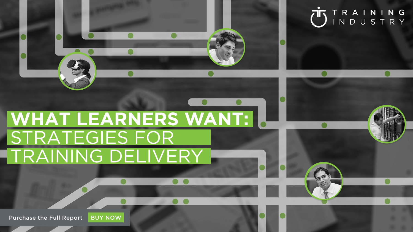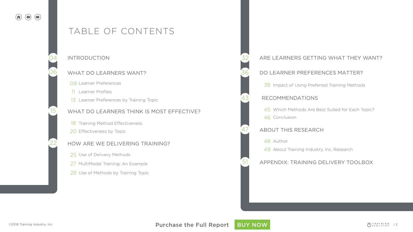# TABLE OF CONTENTS

#### 04 INTRODUCTION 32

06

15

22

#### WHAT DO LEARNERS WANT?

Learner Preferences 09

Learner Profiles 11

13 Learner Preferences by Training Topic

## WHAT DO LEARNERS THINK IS MOST EFFECTIVE?

- 18 Training Method Effectiveness
- 20 Effectiveness by Topic

#### HOW ARE WE DELIVERING TRAINING?

- 25 Use of Delivery Methods
- 27 MultiModal Training: An Example
- 28 Use of Methods by Training Topic

## ARE LEARNERS GETTING WHAT THEY WANT?

#### DO LEARNER PREFERENCES MATTER?

38 Impact of Using Preferred Training Methods

#### RECOMMENDATIONS

45 Which Methods Are Best Suited for Each Topic? 46 Conclusion

## ABOUT THIS RESEARCH

48 Author

36

43

47

51

49 About Training Industry, Inc. Research

## APPENDIX: TRAINING DELIVERY TOOLBOX

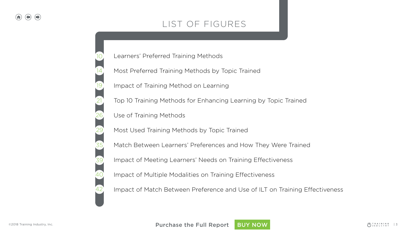# LIST OF FIGURES

Learners' Preferred Training Methods

- Most Preferred Training Methods by Topic Trained
- Impact of Training Method on Learning
- Top 10 Training Methods for Enhancing Learning by Topic Trained
- Use of Training Methods
- Most Used Training Methods by Topic Trained
- Match Between Learners' Preferences and How They Were Trained
- Impact of Meeting Learners' Needs on Training Effectiveness
- Impact of Multiple Modalities on Training Effectiveness
- Impact of Match Between Preference and Use of ILT on Training Effectiveness

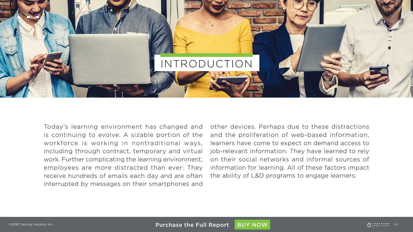

Today's learning environment has changed and is continuing to evolve. A sizable portion of the workforce is working in nontraditional ways, including through contract, temporary and virtual work. Further complicating the learning environment, employees are more distracted than ever: They receive hundreds of emails each day and are often interrupted by messages on their smartphones and

other devices. Perhaps due to these distractions and the proliferation of web-based information, learners have come to expect on demand access to job-relevant information. They have learned to rely on their social networks and informal sources of information for learning. All of these factors impact the ability of L&D programs to engage learners.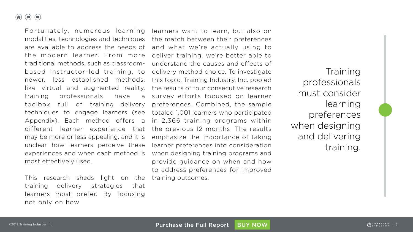$\bigoplus$   $\bigoplus$  $\left( \bigwedge$ 

> Fortunately, numerous learning modalities, technologies and techniques are available to address the needs of the modern learner. From more traditional methods, such as classroombased instructor-led training, to newer, less established methods, like virtual and augmented reality, training professionals have a toolbox full of training delivery techniques to engage learners (see Appendix). Each method offers a different learner experience that may be more or less appealing, and it is unclear how learners perceive these experiences and when each method is most effectively used.

This research sheds light on the training delivery strategies that learners most prefer. By focusing not only on how

learners want to learn, but also on the match between their preferences and what we're actually using to deliver training, we're better able to understand the causes and effects of delivery method choice. To investigate this topic, Training Industry, Inc. pooled the results of four consecutive research survey efforts focused on learner preferences. Combined, the sample totaled 1,001 learners who participated in 2,366 training programs within the previous 12 months. The results emphasize the importance of taking learner preferences into consideration when designing training programs and provide guidance on when and how to address preferences for improved training outcomes.

Training professionals must consider learning preferences when designing and delivering training.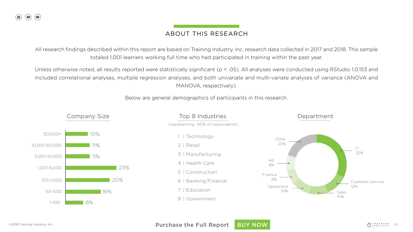# ABOUT THIS RESEARCH

All research findings described within this report are based on Training Industry, Inc. research data collected in 2017 and 2018. This sample totaled 1,001 learners working full time who had participated in training within the past year.

Unless otherwise noted, all results reported were statistically significant (p < .05). All analyses were conducted using RStudio 1.0.153 and included correlational analyses, multiple regression analyses, and both univariate and multi-variate analyses of variance (ANOVA and MANOVA, respectively).

Below are general demographics of participants in this research.



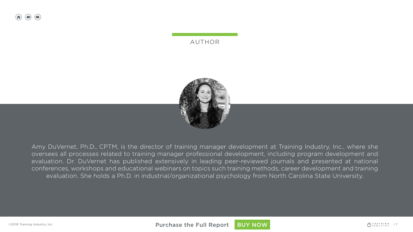## AUTHOR



Amy DuVernet, Ph.D., CPTM, is the director of training manager development at Training Industry, Inc., where she oversees all processes related to training manager professional development, including program development and evaluation. Dr. DuVernet has published extensively in leading peer-reviewed journals and presented at national conferences, workshops and educational webinars on topics such training methods, career development and training evaluation. She holds a Ph.D. in industrial/organizational psychology from North Carolina State University.

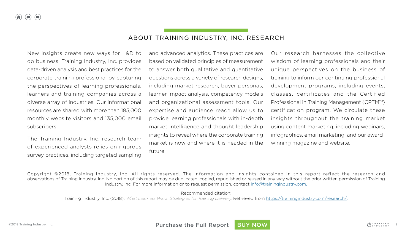### ABOUT TRAINING INDUSTRY, INC. RESEARCH

New insights create new ways for L&D to do business. Training Industry, Inc. provides data-driven analysis and best practices for the corporate training professional by capturing the perspectives of learning professionals, learners and training companies across a diverse array of industries. Our informational resources are shared with more than 185,000 monthly website visitors and 135,000 email subscribers.

The Training Industry, Inc. research team of experienced analysts relies on rigorous survey practices, including targeted sampling and advanced analytics. These practices are based on validated principles of measurement to answer both qualitative and quantitative questions across a variety of research designs, including market research, buyer personas, learner impact analysis, competency models and organizational assessment tools. Our expertise and audience reach allow us to provide learning professionals with in-depth market intelligence and thought leadership insights to reveal where the corporate training market is now and where it is headed in the future.

Our research harnesses the collective wisdom of learning professionals and their unique perspectives on the business of training to inform our continuing professional development programs, including events, classes, certificates and the Certified Professional in Training Management (CPTM™) certification program. We circulate these insights throughout the training market using content marketing, including webinars, infographics, email marketing, and our awardwinning magazine and website.

Copyright ©2018, Training Industry, Inc. All rights reserved. The information and insights contained in this report reflect the research and observations of Training Industry, Inc. No portion of this report may be duplicated, copied, republished or reused in any way without the prior written permission of Training Industry, Inc. For more information or to request permission, contact [info@trainingindustry.com](mailto:info%40trainingindustry.com?subject=).

Recommended citation:

Training Industry, Inc. (2018). *What Learners Want: Strategies for Training Delivery.* Retrieved from [https://trainingindustry.com/research/.](https://trainingindustry.com/research/content-development/what-learners-want-strategies-for-training-delivery/)